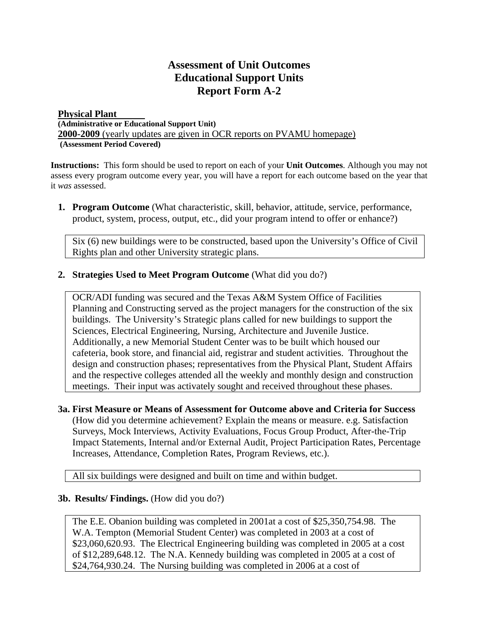## **Assessment of Unit Outcomes Educational Support Units Report Form A-2**

## **Physical Plant (Administrative or Educational Support Unit) 2000-2009** (yearly updates are given in OCR reports on PVAMU homepage)  **(Assessment Period Covered)**

**Instructions:** This form should be used to report on each of your **Unit Outcomes**. Although you may not assess every program outcome every year, you will have a report for each outcome based on the year that it *was* assessed.

**1. Program Outcome** (What characteristic, skill, behavior, attitude, service, performance, product, system, process, output, etc., did your program intend to offer or enhance?)

Six (6) new buildings were to be constructed, based upon the University's Office of Civil Rights plan and other University strategic plans.

**2. Strategies Used to Meet Program Outcome** (What did you do?)

OCR/ADI funding was secured and the Texas A&M System Office of Facilities Planning and Constructing served as the project managers for the construction of the six buildings. The University's Strategic plans called for new buildings to support the Sciences, Electrical Engineering, Nursing, Architecture and Juvenile Justice. Additionally, a new Memorial Student Center was to be built which housed our cafeteria, book store, and financial aid, registrar and student activities. Throughout the design and construction phases; representatives from the Physical Plant, Student Affairs and the respective colleges attended all the weekly and monthly design and construction meetings. Their input was activately sought and received throughout these phases.

**3a. First Measure or Means of Assessment for Outcome above and Criteria for Success**

(How did you determine achievement? Explain the means or measure. e.g. Satisfaction Surveys, Mock Interviews, Activity Evaluations, Focus Group Product, After-the-Trip Impact Statements, Internal and/or External Audit, Project Participation Rates, Percentage Increases, Attendance, Completion Rates, Program Reviews, etc.).

All six buildings were designed and built on time and within budget.

## **3b. Results/ Findings.** (How did you do?)

The E.E. Obanion building was completed in 2001at a cost of \$25,350,754.98. The W.A. Tempton (Memorial Student Center) was completed in 2003 at a cost of \$23,060,620.93. The Electrical Engineering building was completed in 2005 at a cost of \$12,289,648.12. The N.A. Kennedy building was completed in 2005 at a cost of \$24,764,930.24. The Nursing building was completed in 2006 at a cost of